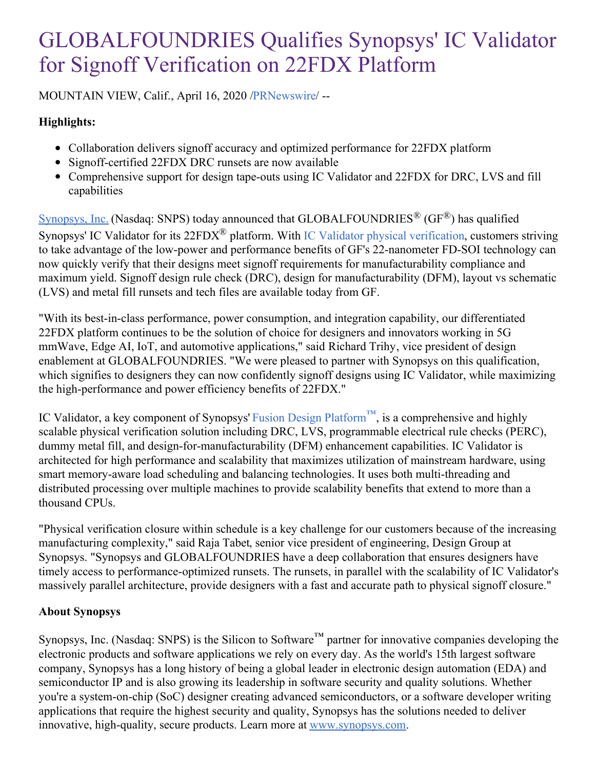## GLOBALFOUNDRIES Qualifies Synopsys' IC Validator for Signoff Verification on 22FDX Platform

MOUNTAIN VIEW, Calif., April 16, 2020 [/PRNewswire](http://www.prnewswire.com/)/ --

## **Highlights:**

- Collaboration delivers signoff accuracy and optimized performance for 22FDX platform
- Signoff-certified 22FDX DRC runsets are now available
- Comprehensive support for design tape-outs using IC Validator and 22FDX for DRC, LVS and fill capabilities

[Synopsys,](https://c212.net/c/link/?t=0&l=en&o=2778177-1&h=2571306574&u=https%3A%2F%2Fwww.synopsys.com%2F&a=Synopsys%2C+Inc.) Inc. (Nasdaq: SNPS) today announced that GLOBALFOUNDRIES<sup>®</sup> (GF<sup>®</sup>) has qualified Synopsys' IC Validator for its 22FDX<sup>®</sup> platform. With IC Validator physical [verification,](https://c212.net/c/link/?t=0&l=en&o=2778177-1&h=2651257176&u=https%3A%2F%2Fwww.synopsys.com%2Fimplementation-and-signoff%2Fphysical-verification.html&a=IC+Validator+physical+verification) customers striving to take advantage of the low-power and performance benefits of GF's 22-nanometer FD-SOI technology can now quickly verify that their designs meet signoff requirements for manufacturability compliance and maximum yield. Signoff design rule check (DRC), design for manufacturability (DFM), layout vs schematic (LVS) and metal fill runsets and tech files are available today from GF.

"With its best-in-class performance, power consumption, and integration capability, our differentiated 22FDX platform continues to be the solution of choice for designers and innovators working in 5G mmWave, Edge AI, IoT, and automotive applications," said Richard Trihy, vice president of design enablement at GLOBALFOUNDRIES. "We were pleased to partner with Synopsys on this qualification, which signifies to designers they can now confidently signoff designs using IC Validator, while maximizing the high-performance and power efficiency benefits of 22FDX."

IC Validator, a key component of Synopsys' Fusion Design [Platform](https://c212.net/c/link/?t=0&l=en&o=2778177-1&h=3581573550&u=https%3A%2F%2Fwww.synopsys.com%2Fimplementation-and-signoff%2Ffusion-design-platform.html&a=Fusion+Design+Platform%E2%84%A2)™, is a comprehensive and highly scalable physical verification solution including DRC, LVS, programmable electrical rule checks (PERC), dummy metal fill, and design-for-manufacturability (DFM) enhancement capabilities. IC Validator is architected for high performance and scalability that maximizes utilization of mainstream hardware, using smart memory-aware load scheduling and balancing technologies. It uses both multi-threading and distributed processing over multiple machines to provide scalability benefits that extend to more than a thousand CPUs.

"Physical verification closure within schedule is a key challenge for our customers because of the increasing manufacturing complexity," said Raja Tabet, senior vice president of engineering, Design Group at Synopsys. "Synopsys and GLOBALFOUNDRIES have a deep collaboration that ensures designers have timely access to performance-optimized runsets. The runsets, in parallel with the scalability of IC Validator's massively parallel architecture, provide designers with a fast and accurate path to physical signoff closure."

## **About Synopsys**

Synopsys, Inc. (Nasdaq: SNPS) is the Silicon to Software™ partner for innovative companies developing the electronic products and software applications we rely on every day. As the world's 15th largest software company, Synopsys has a long history of being a global leader in electronic design automation (EDA) and semiconductor IP and is also growing its leadership in software security and quality solutions. Whether you're a system-on-chip (SoC) designer creating advanced semiconductors, or a software developer writing applications that require the highest security and quality, Synopsys has the solutions needed to deliver innovative, high-quality, secure products. Learn more at [www.synopsys.com](https://c212.net/c/link/?t=0&l=en&o=2778177-1&h=3814382695&u=https%3A%2F%2Fwww.synopsys.com%2F&a=www.synopsys.com).